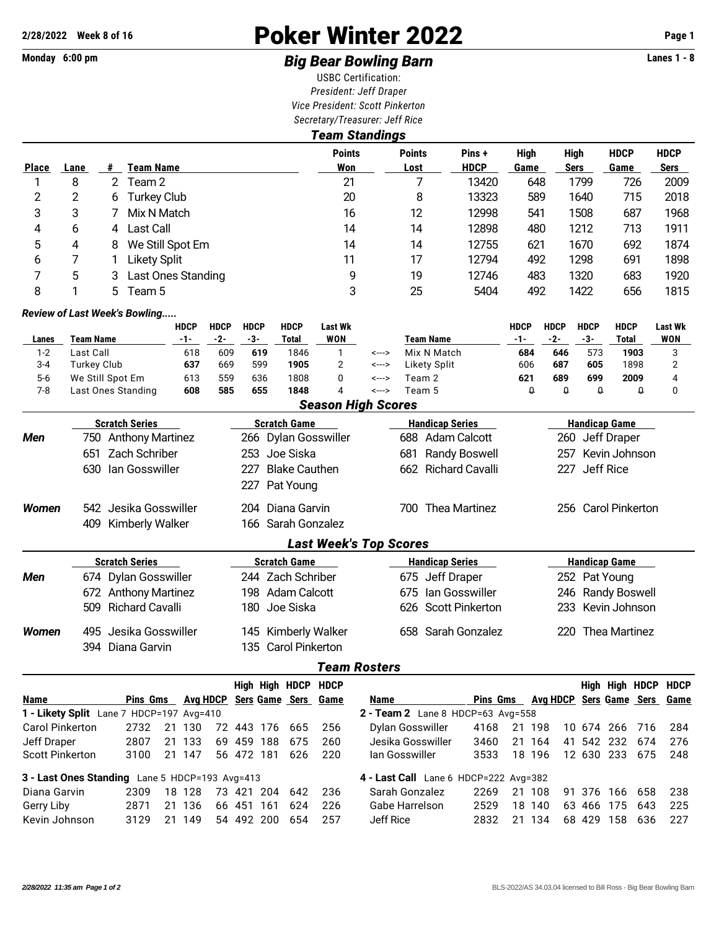# **2/28/2022 Week 8 of 16** Poker Winter 2022 **Page 1**

### Monday 6:00 pm **Example 2 and 3 and 3 and 3 and 3 and 3 and 3 Big Bear Bowling Barn Barn Lanes 1 - 8**

USBC Certification: *President: Jeff Draper Vice President: Scott Pinkerton Secretary/Treasurer: Jeff Rice Team Standings*

|              |           |                  |                               |             |             |             |             | I caill งเallulliyə |       |               |        |             |             |             |             |             |
|--------------|-----------|------------------|-------------------------------|-------------|-------------|-------------|-------------|---------------------|-------|---------------|--------|-------------|-------------|-------------|-------------|-------------|
|              |           |                  |                               |             |             |             |             | <b>Points</b>       |       | <b>Points</b> | Pins + | <b>High</b> |             | High        | <b>HDCP</b> | <b>HDCP</b> |
| <b>Place</b> | Lane      | #                | Team Name                     |             |             |             |             | Won                 |       | Lost          | HDCP   | Game        |             | <b>Sers</b> | Game        | Sers        |
|              | 8         | 2                | Team 2                        |             |             |             |             | 21                  |       |               | 13420  | 648         |             | 1799        | 726         | 2009        |
| 2            | 2         | 6                | <b>Turkey Club</b>            |             |             |             |             | 20                  |       | 8             | 13323  | 589         |             | 1640        | 715         | 2018        |
| 3            | 3         |                  | Mix N Match                   |             |             |             |             | 16                  |       | 12            | 12998  | 541         |             | 1508        | 687         | 1968        |
| 4            | 6         | 4                | Last Call                     |             |             |             |             | 14                  |       | 14            | 12898  | 480         |             | 1212        | 713         | 1911        |
| 5            | 4         | 8                | We Still Spot Em              |             |             |             |             | 14                  |       | 14            | 12755  | 621         |             | 1670        | 692         | 1874        |
| 6            |           |                  | <b>Likety Split</b>           |             |             |             |             | 11                  |       | 17            | 12794  | 492         |             | 1298        | 691         | 1898        |
| 7            | 5         | 3                | Last Ones Standing            |             |             |             |             | 9                   |       | 19            | 12746  | 483         |             | 1320        | 683         | 1920        |
| 8            |           | 5.               | Team 5                        |             |             |             |             | 3                   |       | 25            | 5404   | 492         |             | 1422        | 656         | 1815        |
|              |           |                  | Review of Last Week's Bowling |             |             |             |             |                     |       |               |        |             |             |             |             |             |
|              |           |                  |                               | <b>HDCP</b> | <b>HDCP</b> | <b>HDCP</b> | <b>HDCP</b> | <b>Last Wk</b>      |       |               |        | <b>HDCP</b> | <b>HDCP</b> | <b>HDCP</b> | <b>HDCP</b> | Last Wk     |
| Lanes        | Team Name |                  |                               | -1-         | $-2-$       | -3-         | Total       | <b>WON</b>          |       | Team Name     |        | -1-         | $-2-$       | -3-         | Total       | <b>WON</b>  |
| $1 - 2$      | Last Call |                  |                               | 618         | 609         | 619         | 1846        |                     | <---> | Mix N Match   |        | 684         | 646         | 573         | 1903        | 3           |
| $3 - 4$      |           | Turkey Club      |                               | 637         | 669         | 599         | 1905        | 2                   | <---> | Likety Split  |        | 606         | 687         | 605         | 1898        |             |
| $5-6$        |           | We Still Spot Em |                               | 613         | 559         | 636         | 1808        | 0                   | <---> | Team 2        |        | 621         | 689         | 699         | 2009        | 4           |
| $7 - 8$      |           |                  | Last Ones Standing            | 608         | 585         | 655         | 1848        |                     | <---> | Team 5        |        | Q           | $\theta$    | 0           | O           | 0           |

|              |                          | <b>Season High Scores</b>     |                             |                       |
|--------------|--------------------------|-------------------------------|-----------------------------|-----------------------|
|              | <b>Scratch Series</b>    | Scratch Game                  | <b>Handicap Series</b>      | <b>Handicap Game</b>  |
| Men          | 750 Anthony Martinez     | 266 Dylan Gosswiller          | Adam Calcott<br>688         | 260 Jeff Draper       |
|              | Zach Schriber<br>651     | 253 Joe Siska                 | <b>Randy Boswell</b><br>681 | 257 Kevin Johnson     |
|              | 630 Ian Gosswiller       | <b>Blake Cauthen</b><br>227   | 662 Richard Cavalli         | Jeff Rice<br>227      |
|              |                          | 227 Pat Young                 |                             |                       |
| <b>Women</b> | 542 Jesika Gosswiller    | 204 Diana Garvin              | Thea Martinez<br>700        | 256 Carol Pinkerton   |
|              | 409 Kimberly Walker      | 166   Sarah Gonzalez          |                             |                       |
|              |                          | <b>Last Week's Top Scores</b> |                             |                       |
|              | <b>Scratch Series</b>    | <b>Scratch Game</b>           | <b>Handicap Series</b>      | <b>Handicap Game</b>  |
| Men          | 674 Dylan Gosswiller     | 244 Zach Schriber             | 675 Jeff Draper             | 252 Pat Young         |
|              | 672 Anthony Martinez     | 198 Adam Calcott              | 675 Ian Gosswiller          | 246 Randy Boswell     |
|              | 509 Richard Cavalli      | 180  Joe Siska                | 626 Scott Pinkerton         | 233 Kevin Johnson     |
| <b>Women</b> | Jesika Gosswiller<br>495 | 145 Kimberly Walker           | Sarah Gonzalez<br>658       | Thea Martinez<br>220. |
|              | 394 Diana Garvin         | 135 Carol Pinkerton           |                             |                       |

### *Team Rosters*

|                                                |                 |    |          |    |        |      | High High HDCP HDCP |      |                                          |                 |    |                              |            |            | High High HDCP HDCP |     |
|------------------------------------------------|-----------------|----|----------|----|--------|------|---------------------|------|------------------------------------------|-----------------|----|------------------------------|------------|------------|---------------------|-----|
| <b>Name</b>                                    | <b>Pins Gms</b> |    | Ava HDCP |    |        |      | Sers Game Sers      | Game | Name                                     | <b>Pins Gms</b> |    | Avg HDCP Sers Game Sers Game |            |            |                     |     |
| 1 - Likety Split Lane 7 HDCP=197 Avg=410       |                 |    |          |    |        |      |                     |      | <b>2 - Team 2</b> Lane 8 HDCP=63 Avg=558 |                 |    |                              |            |            |                     |     |
| <b>Carol Pinkerton</b>                         | 2732            | 21 | -130     | 72 | 443    | 176  | 665                 | 256  | Dylan Gosswiller                         | 4168            | 21 | 198                          |            | 10 674 266 | - 716               | 284 |
| Jeff Draper                                    | 2807            | 21 | -133     | 69 | 459    | 188  | 675                 | 260  | Jesika Gosswiller                        | 3460            | 21 | 164                          |            | 41 542 232 | 674                 | 276 |
| <b>Scott Pinkerton</b>                         | 3100            | 21 | 147      |    | 56 472 | 181  | 626                 | 220  | lan Gosswiller                           | 3533            | 18 | 196                          | 12 630 233 |            | 675                 | 248 |
| 3 - Last Ones Standing Lane 5 HDCP=193 Avg=413 |                 |    |          |    |        |      |                     |      | 4 - Last Call Lane 6 HDCP=222 Avg=382    |                 |    |                              |            |            |                     |     |
| Diana Garvin                                   | 2309            |    | 18 128   | 73 | 421    | 204  | 642                 | -236 | Sarah Gonzalez                           | 2269            | 21 | 108                          | 91 376     | 166        | 658                 | 238 |
| Gerry Liby                                     | 2871            | 21 | -136     | 66 | 451    | 161  | 624                 | 226  | Gabe Harrelson                           | 2529            | 18 | 140<br>63                    | 466        | 175        | 643                 | 225 |
| Kevin Johnson                                  | 3129            | 21 | 149      | 54 | 492    | -200 | 654                 | 257  | Jeff Rice                                | 2832            | 21 | 134<br>68                    | 429        | 158        | 636                 | 227 |